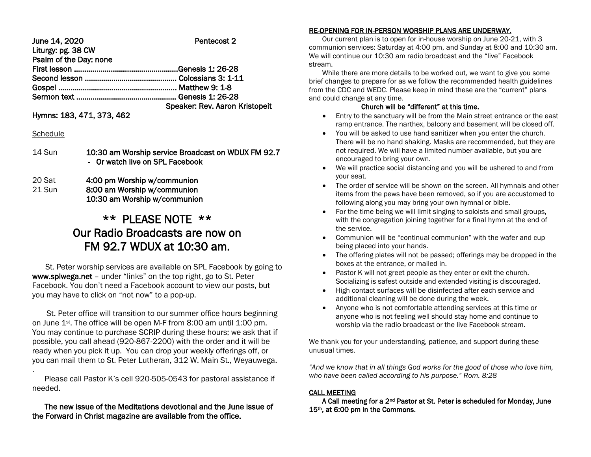| June 14, 2020          | Pentecost 2                    |
|------------------------|--------------------------------|
| Liturgy: pg. 38 CW     |                                |
| Psalm of the Day: none |                                |
|                        |                                |
|                        |                                |
|                        |                                |
|                        |                                |
|                        | Speaker: Rev. Aaron Kristopeit |

Hymns: 183, 471, 373, 462

# **Schedule**

.

14 Sun 10:30 am Worship service Broadcast on WDUX FM 92.7 - Or watch live on SPL Facebook

20 Sat 4:00 pm Worship w/communion 21 Sun 8:00 am Worship w/communion 10:30 am Worship w/communion

# \*\* PLEASE NOTE \*\* Our Radio Broadcasts are now on FM 92.7 WDUX at 10:30 am.

 St. Peter worship services are available on SPL Facebook by going to www.splwega.net – under "links" on the top right, go to St. Peter Facebook. You don't need a Facebook account to view our posts, but you may have to click on "not now" to a pop-up.

 St. Peter office will transition to our summer office hours beginning on June 1st. The office will be open M-F from 8:00 am until 1:00 pm. You may continue to purchase SCRIP during these hours; we ask that if possible, you call ahead (920-867-2200) with the order and it will be ready when you pick it up. You can drop your weekly offerings off, or you can mail them to St. Peter Lutheran, 312 W. Main St., Weyauwega.

 Please call Pastor K's cell 920-505-0543 for pastoral assistance if needed.

# The new issue of the Meditations devotional and the June issue of the Forward in Christ magazine are available from the office.

# RE-OPENING FOR IN-PERSON WORSHIP PLANS ARE UNDERWAY.

 Our current plan is to open for in-house worship on June 20-21, with 3 communion services: Saturday at 4:00 pm, and Sunday at 8:00 and 10:30 am. We will continue our 10:30 am radio broadcast and the "live" Facebook stream.

 While there are more details to be worked out, we want to give you some brief changes to prepare for as we follow the recommended health guidelines from the CDC and WEDC. Please keep in mind these are the "current" plans and could change at any time.

## Church will be "different" at this time.

- Entry to the sanctuary will be from the Main street entrance or the east ramp entrance. The narthex, balcony and basement will be closed off.
- You will be asked to use hand sanitizer when you enter the church. There will be no hand shaking. Masks are recommended, but they are not required. We will have a limited number available, but you are encouraged to bring your own.
- We will practice social distancing and you will be ushered to and from your seat.
- The order of service will be shown on the screen. All hymnals and other items from the pews have been removed, so if you are accustomed to following along you may bring your own hymnal or bible.
- For the time being we will limit singing to soloists and small groups, with the congregation joining together for a final hymn at the end of the service.
- Communion will be "continual communion" with the wafer and cup being placed into your hands.
- The offering plates will not be passed; offerings may be dropped in the boxes at the entrance, or mailed in.
- Pastor K will not greet people as they enter or exit the church. Socializing is safest outside and extended visiting is discouraged.
- High contact surfaces will be disinfected after each service and additional cleaning will be done during the week.
- Anyone who is not comfortable attending services at this time or anyone who is not feeling well should stay home and continue to worship via the radio broadcast or the live Facebook stream.

We thank you for your understanding, patience, and support during these unusual times.

*"And we know that in all things God works for the good of those who love him, who have been called according to his purpose." Rom. 8:28*

# CALL MEETING

 A Call meeting for a 2nd Pastor at St. Peter is scheduled for Monday, June 15th, at 6:00 pm in the Commons.